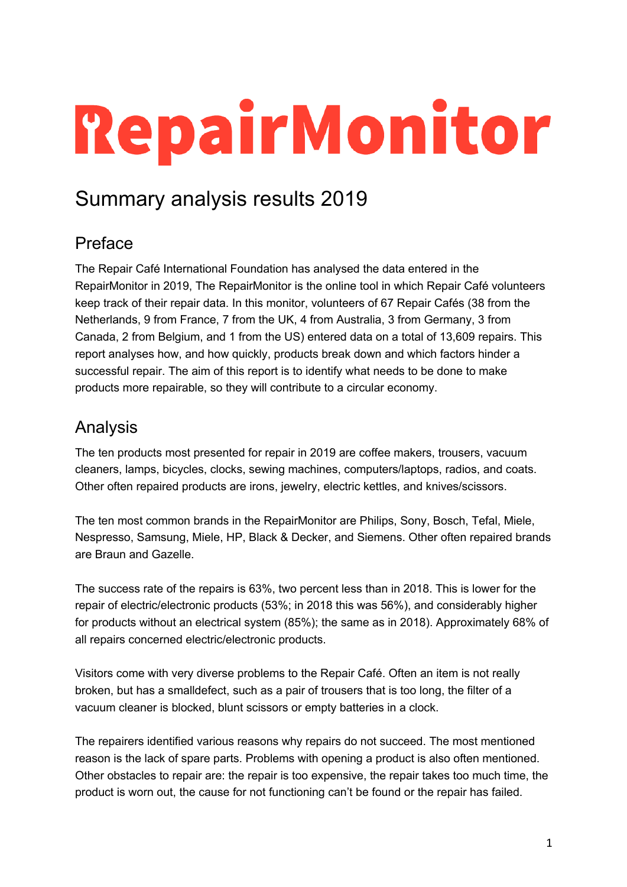# RepairMonitor

## Summary analysis results 2019

## Preface

The Repair Café International Foundation has analysed the data entered in the RepairMonitor in 2019, The RepairMonitor is the online tool in which Repair Café volunteers keep track of their repair data. In this monitor, volunteers of 67 Repair Cafés (38 from the Netherlands, 9 from France, 7 from the UK, 4 from Australia, 3 from Germany, 3 from Canada, 2 from Belgium, and 1 from the US) entered data on a total of 13,609 repairs. This report analyses how, and how quickly, products break down and which factors hinder a successful repair. The aim of this report is to identify what needs to be done to make products more repairable, so they will contribute to a circular economy.

## Analysis

The ten products most presented for repair in 2019 are coffee makers, trousers, vacuum cleaners, lamps, bicycles, clocks, sewing machines, computers/laptops, radios, and coats. Other often repaired products are irons, jewelry, electric kettles, and knives/scissors.

The ten most common brands in the RepairMonitor are Philips, Sony, Bosch, Tefal, Miele, Nespresso, Samsung, Miele, HP, Black & Decker, and Siemens. Other often repaired brands are Braun and Gazelle.

The success rate of the repairs is 63%, two percent less than in 2018. This is lower for the repair of electric/electronic products (53%; in 2018 this was 56%), and considerably higher for products without an electrical system (85%); the same as in 2018). Approximately 68% of all repairs concerned electric/electronic products.

Visitors come with very diverse problems to the Repair Café. Often an item is not really broken, but has a smalldefect, such as a pair of trousers that is too long, the filter of a vacuum cleaner is blocked, blunt scissors or empty batteries in a clock.

The repairers identified various reasons why repairs do not succeed. The most mentioned reason is the lack of spare parts. Problems with opening a product is also often mentioned. Other obstacles to repair are: the repair is too expensive, the repair takes too much time, the product is worn out, the cause for not functioning can't be found or the repair has failed.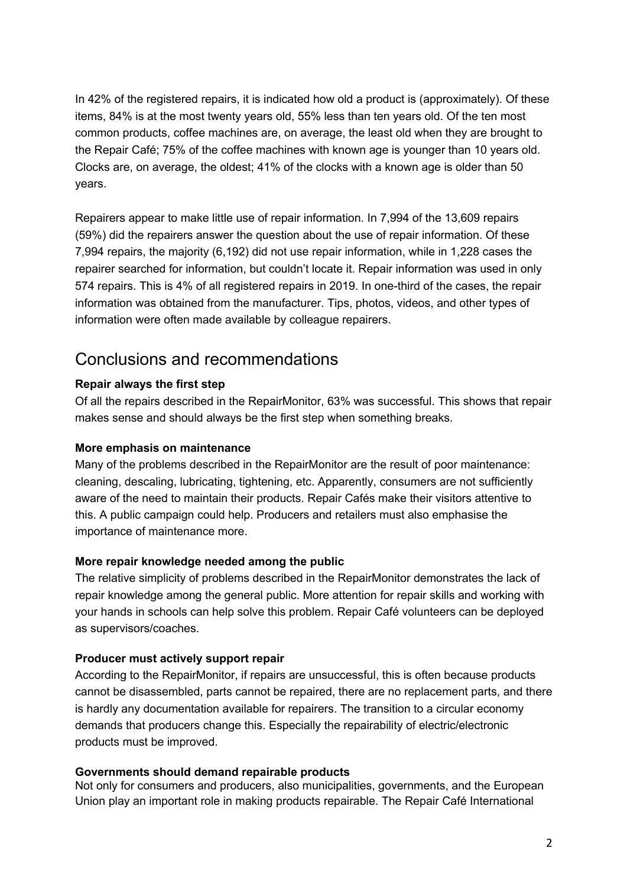In 42% of the registered repairs, it is indicated how old a product is (approximately). Of these items, 84% is at the most twenty years old, 55% less than ten years old. Of the ten most common products, coffee machines are, on average, the least old when they are brought to the Repair Café; 75% of the coffee machines with known age is younger than 10 years old. Clocks are, on average, the oldest; 41% of the clocks with a known age is older than 50 years.

Repairers appear to make little use of repair information. In 7,994 of the 13,609 repairs (59%) did the repairers answer the question about the use of repair information. Of these 7,994 repairs, the majority (6,192) did not use repair information, while in 1,228 cases the repairer searched for information, but couldn't locate it. Repair information was used in only 574 repairs. This is 4% of all registered repairs in 2019. In one-third of the cases, the repair information was obtained from the manufacturer. Tips, photos, videos, and other types of information were often made available by colleague repairers.

### Conclusions and recommendations

#### **Repair always the first step**

Of all the repairs described in the RepairMonitor, 63% was successful. This shows that repair makes sense and should always be the first step when something breaks.

#### **More emphasis on maintenance**

Many of the problems described in the RepairMonitor are the result of poor maintenance: cleaning, descaling, lubricating, tightening, etc. Apparently, consumers are not sufficiently aware of the need to maintain their products. Repair Cafés make their visitors attentive to this. A public campaign could help. Producers and retailers must also emphasise the importance of maintenance more.

#### **More repair knowledge needed among the public**

The relative simplicity of problems described in the RepairMonitor demonstrates the lack of repair knowledge among the general public. More attention for repair skills and working with your hands in schools can help solve this problem. Repair Café volunteers can be deployed as supervisors/coaches.

#### **Producer must actively support repair**

According to the RepairMonitor, if repairs are unsuccessful, this is often because products cannot be disassembled, parts cannot be repaired, there are no replacement parts, and there is hardly any documentation available for repairers. The transition to a circular economy demands that producers change this. Especially the repairability of electric/electronic products must be improved.

#### **Governments should demand repairable products**

Not only for consumers and producers, also municipalities, governments, and the European Union play an important role in making products repairable. The Repair Café International